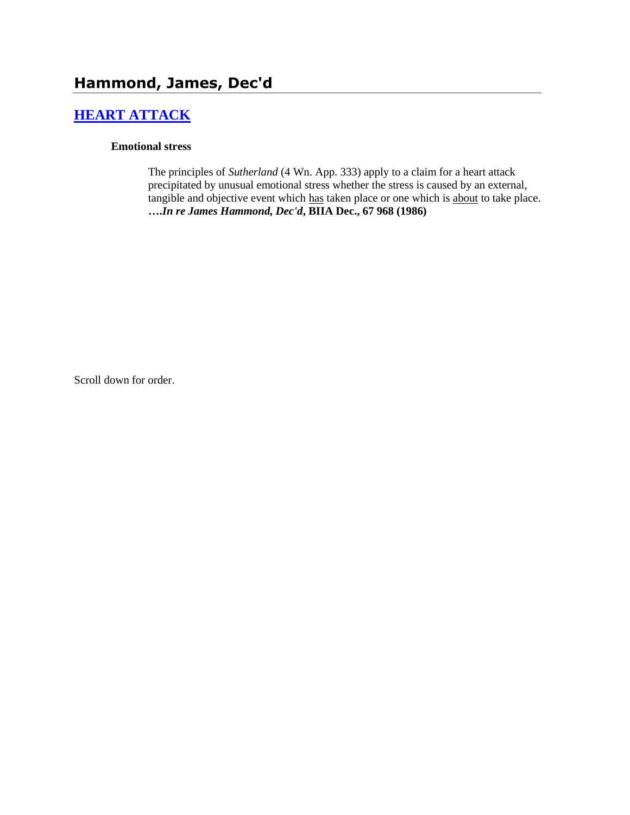# **[HEART ATTACK](http://www.biia.wa.gov/SDSubjectIndex.html#HEART_ATTACK)**

### **Emotional stress**

The principles of *Sutherland* (4 Wn. App. 333) apply to a claim for a heart attack precipitated by unusual emotional stress whether the stress is caused by an external, tangible and objective event which has taken place or one which is about to take place. **….***In re James Hammond, Dec'd***, BIIA Dec., 67 968 (1986)** 

Scroll down for order.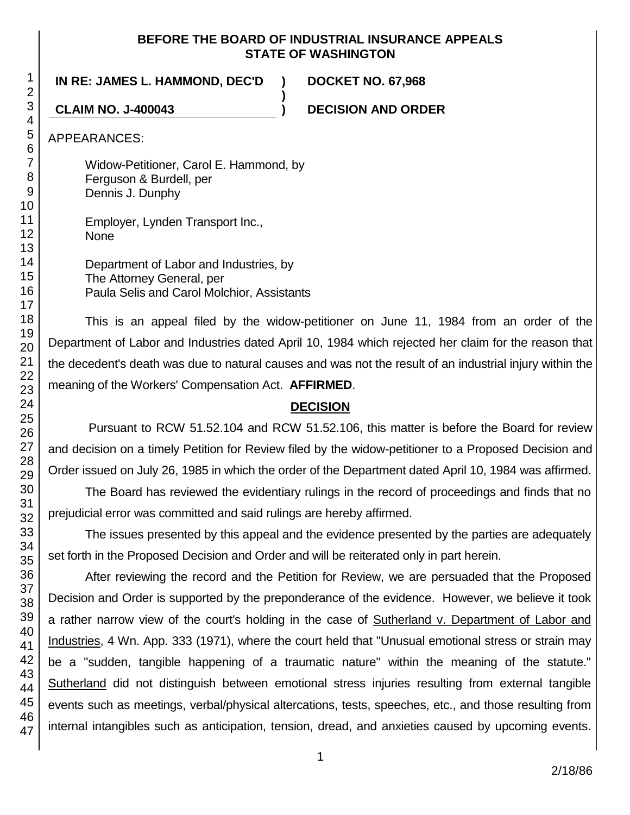### **BEFORE THE BOARD OF INDUSTRIAL INSURANCE APPEALS STATE OF WASHINGTON**

**)**

### **IN RE: JAMES L. HAMMOND, DEC'D ) DOCKET NO. 67,968**

**CLAIM NO. J-400043 ) DECISION AND ORDER**

APPEARANCES:

Widow-Petitioner, Carol E. Hammond, by Ferguson & Burdell, per Dennis J. Dunphy

Employer, Lynden Transport Inc., None

Department of Labor and Industries, by The Attorney General, per Paula Selis and Carol Molchior, Assistants

This is an appeal filed by the widow-petitioner on June 11, 1984 from an order of the Department of Labor and Industries dated April 10, 1984 which rejected her claim for the reason that the decedent's death was due to natural causes and was not the result of an industrial injury within the meaning of the Workers' Compensation Act. **AFFIRMED**.

## **DECISION**

Pursuant to RCW 51.52.104 and RCW 51.52.106, this matter is before the Board for review and decision on a timely Petition for Review filed by the widow-petitioner to a Proposed Decision and Order issued on July 26, 1985 in which the order of the Department dated April 10, 1984 was affirmed.

The Board has reviewed the evidentiary rulings in the record of proceedings and finds that no prejudicial error was committed and said rulings are hereby affirmed.

The issues presented by this appeal and the evidence presented by the parties are adequately set forth in the Proposed Decision and Order and will be reiterated only in part herein.

After reviewing the record and the Petition for Review, we are persuaded that the Proposed Decision and Order is supported by the preponderance of the evidence. However, we believe it took a rather narrow view of the court's holding in the case of Sutherland v. Department of Labor and Industries, 4 Wn. App. 333 (1971), where the court held that "Unusual emotional stress or strain may be a "sudden, tangible happening of a traumatic nature" within the meaning of the statute." Sutherland did not distinguish between emotional stress injuries resulting from external tangible events such as meetings, verbal/physical altercations, tests, speeches, etc., and those resulting from internal intangibles such as anticipation, tension, dread, and anxieties caused by upcoming events.

1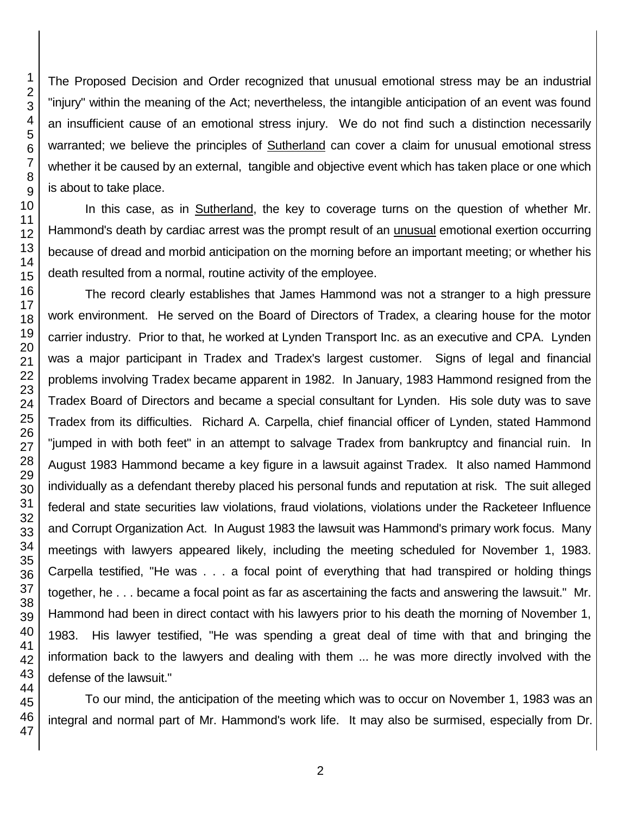The Proposed Decision and Order recognized that unusual emotional stress may be an industrial "injury" within the meaning of the Act; nevertheless, the intangible anticipation of an event was found an insufficient cause of an emotional stress injury. We do not find such a distinction necessarily warranted; we believe the principles of Sutherland can cover a claim for unusual emotional stress whether it be caused by an external, tangible and objective event which has taken place or one which is about to take place.

In this case, as in Sutherland, the key to coverage turns on the question of whether Mr. Hammond's death by cardiac arrest was the prompt result of an unusual emotional exertion occurring because of dread and morbid anticipation on the morning before an important meeting; or whether his death resulted from a normal, routine activity of the employee.

The record clearly establishes that James Hammond was not a stranger to a high pressure work environment. He served on the Board of Directors of Tradex, a clearing house for the motor carrier industry. Prior to that, he worked at Lynden Transport Inc. as an executive and CPA. Lynden was a major participant in Tradex and Tradex's largest customer. Signs of legal and financial problems involving Tradex became apparent in 1982. In January, 1983 Hammond resigned from the Tradex Board of Directors and became a special consultant for Lynden. His sole duty was to save Tradex from its difficulties. Richard A. Carpella, chief financial officer of Lynden, stated Hammond "jumped in with both feet" in an attempt to salvage Tradex from bankruptcy and financial ruin. In August 1983 Hammond became a key figure in a lawsuit against Tradex. It also named Hammond individually as a defendant thereby placed his personal funds and reputation at risk. The suit alleged federal and state securities law violations, fraud violations, violations under the Racketeer Influence and Corrupt Organization Act. In August 1983 the lawsuit was Hammond's primary work focus. Many meetings with lawyers appeared likely, including the meeting scheduled for November 1, 1983. Carpella testified, "He was . . . a focal point of everything that had transpired or holding things together, he . . . became a focal point as far as ascertaining the facts and answering the lawsuit." Mr. Hammond had been in direct contact with his lawyers prior to his death the morning of November 1, 1983. His lawyer testified, "He was spending a great deal of time with that and bringing the information back to the lawyers and dealing with them ... he was more directly involved with the defense of the lawsuit."

To our mind, the anticipation of the meeting which was to occur on November 1, 1983 was an integral and normal part of Mr. Hammond's work life. It may also be surmised, especially from Dr.